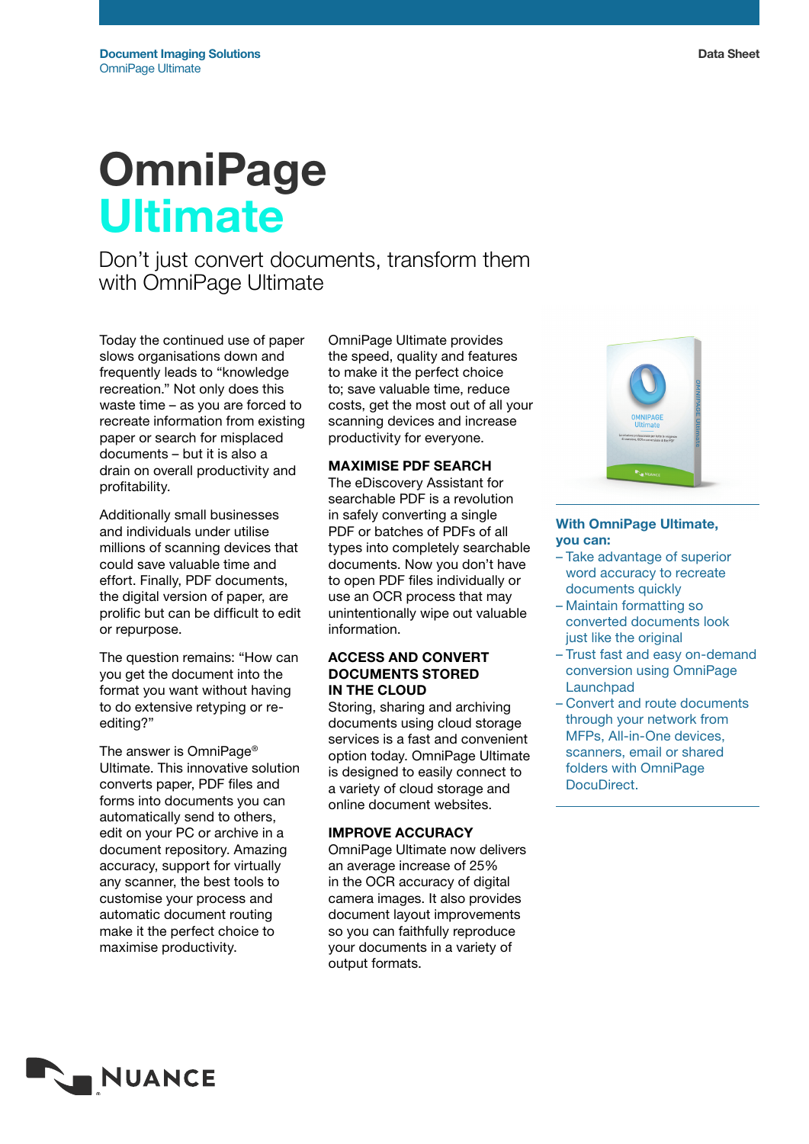# **OmniPage Ultimate**

Don't just convert documents, transform them with OmniPage Ultimate

Today the continued use of paper slows organisations down and frequently leads to "knowledge recreation." Not only does this waste time – as you are forced to recreate information from existing paper or search for misplaced documents – but it is also a drain on overall productivity and profitability.

Additionally small businesses and individuals under utilise millions of scanning devices that could save valuable time and effort. Finally, PDF documents, the digital version of paper, are prolific but can be difficult to edit or repurpose.

The question remains: "How can you get the document into the format you want without having to do extensive retyping or reediting?"

The answer is OmniPage® Ultimate. This innovative solution converts paper, PDF files and forms into documents you can automatically send to others, edit on your PC or archive in a document repository. Amazing accuracy, support for virtually any scanner, the best tools to customise your process and automatic document routing make it the perfect choice to maximise productivity.

OmniPage Ultimate provides the speed, quality and features to make it the perfect choice to; save valuable time, reduce costs, get the most out of all your scanning devices and increase productivity for everyone.

## Maximise PDF Search

The eDiscovery Assistant for searchable PDF is a revolution in safely converting a single PDF or batches of PDFs of all types into completely searchable documents. Now you don't have to open PDF files individually or use an OCR process that may unintentionally wipe out valuable information.

## Access and Convert Documents STored in the Cloud

Storing, sharing and archiving documents using cloud storage services is a fast and convenient option today. OmniPage Ultimate is designed to easily connect to a variety of cloud storage and online document websites.

## Improve Accuracy

OmniPage Ultimate now delivers an average increase of 25% in the OCR accuracy of digital camera images. It also provides document layout improvements so you can faithfully reproduce your documents in a variety of output formats.



## With OmniPage Ultimate, you can:

- Take advantage of superior word accuracy to recreate documents quickly
- Maintain formatting so converted documents look just like the original
- Trust fast and easy on-demand conversion using OmniPage **Launchpad**
- Convert and route documents through your network from MFPs, All-in-One devices, scanners, email or shared folders with OmniPage DocuDirect.

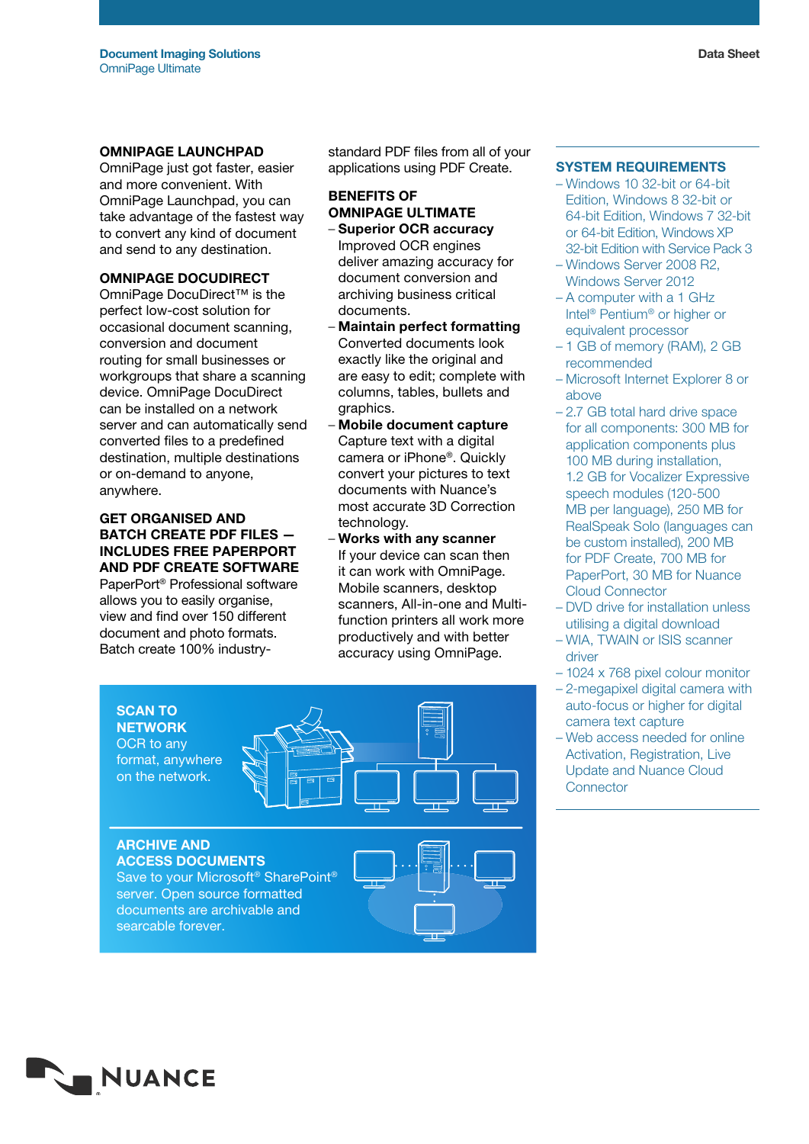#### OmniPage Launchpad

OmniPage just got faster, easier and more convenient. With OmniPage Launchpad, you can take advantage of the fastest way to convert any kind of document and send to any destination.

### OMNIPAGE DOCUDIRECT

OmniPage DocuDirect™ is the perfect low-cost solution for occasional document scanning, conversion and document routing for small businesses or workgroups that share a scanning device. OmniPage DocuDirect can be installed on a network server and can automatically send converted files to a predefined destination, multiple destinations or on-demand to anyone, anywhere.

## Get organised and batch create PDF files includes FREE PaperPort and PDF Create software

PaperPort® Professional software allows you to easily organise, view and find over 150 different document and photo formats. Batch create 100% industry-

standard PDF files from all of your applications using PDF Create.

## Benefits of OmniPage Ultimate

- Superior OCR accuracy Improved OCR engines deliver amazing accuracy for document conversion and archiving business critical documents.
- Maintain perfect formatting Converted documents look exactly like the original and are easy to edit; complete with columns, tables, bullets and graphics.
- Mobile document capture Capture text with a digital camera or iPhone®. Quickly convert your pictures to text documents with Nuance's most accurate 3D Correction technology.
- Works with any scanner If your device can scan then it can work with OmniPage. Mobile scanners, desktop scanners, All-in-one and Multifunction printers all work more productively and with better accuracy using OmniPage.



#### System Requirements

- Windows 10 32-bit or 64-bit Edition, Windows 8 32-bit or 64-bit Edition, Windows 7 32-bit or 64-bit Edition, Windows XP 32-bit Edition with Service Pack 3
- Windows Server 2008 R2, Windows Server 2012
- A computer with a 1 GHz Intel® Pentium® or higher or equivalent processor
- 1 GB of memory (RAM), 2 GB recommended
- Microsoft Internet Explorer 8 or above
- 2.7 GB total hard drive space for all components: 300 MB for application components plus 100 MB during installation, 1.2 GB for Vocalizer Expressive speech modules (120-500 MB per language), 250 MB for RealSpeak Solo (languages can be custom installed), 200 MB for PDF Create, 700 MB for PaperPort, 30 MB for Nuance Cloud Connector
- DVD drive for installation unless utilising a digital download
- WIA, TWAIN or ISIS scanner driver
- 1024 x 768 pixel colour monitor
- 2-megapixel digital camera with auto-focus or higher for digital camera text capture
- Web access needed for online Activation, Registration, Live Update and Nuance Cloud **Connector**